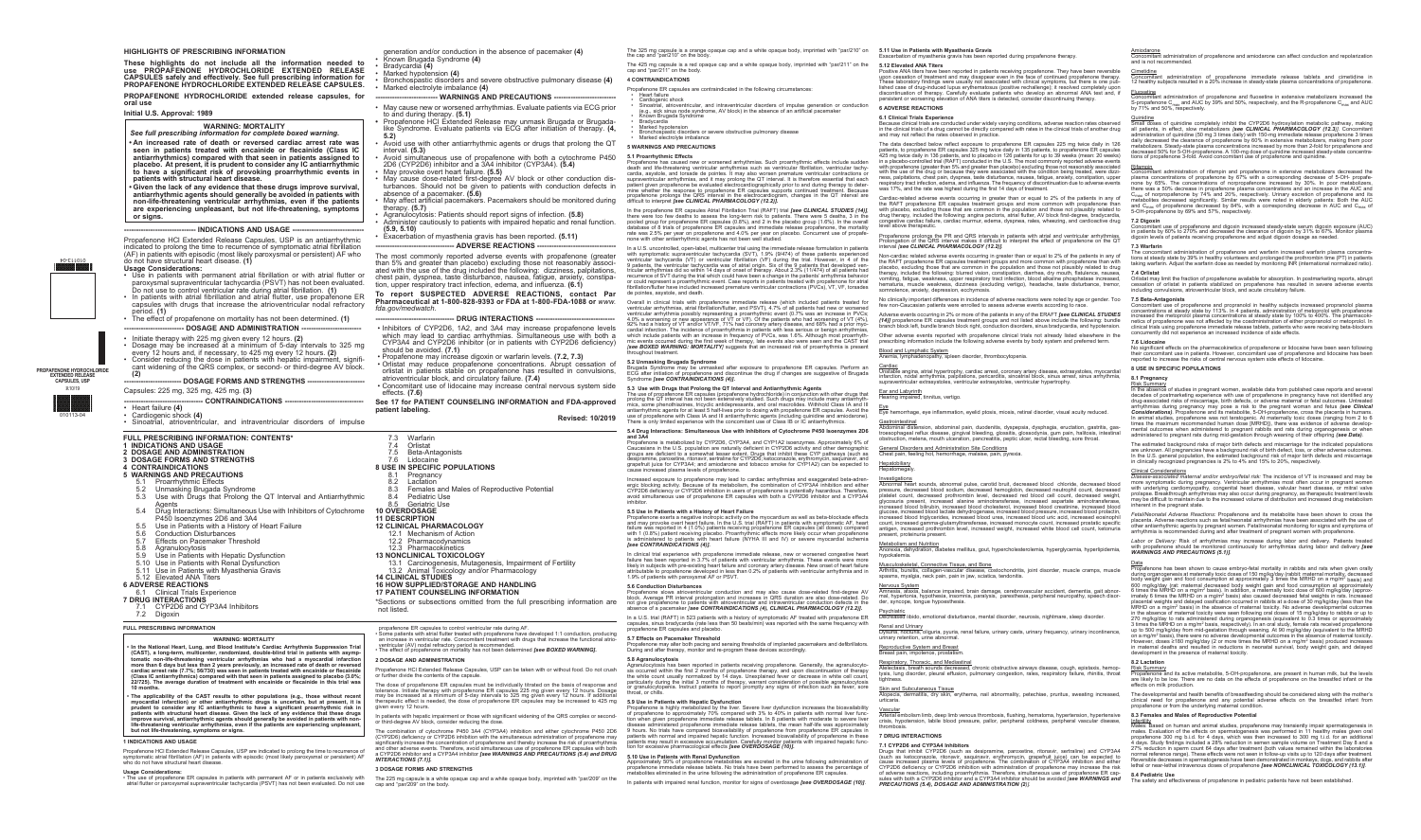## **HIGHLIGHTS OF PRESCRIBING INFORMATION**

**These highlights do not include all the information needed to use PROPAFENONE HYDROCHLORIDE EXTENDED RELEASE CAPSULES safely and effectively. See full prescribing information for PROPAFENONE HYDROCHLORIDE EXTENDED RELEASE CAPSULES.** 

**PROPAFENONE HYDROCHLORIDE extended release capsules, for oral use** 

- **Initial U.S. Approval: 1989**
- **WARNING: MORTALITY**  *See full prescribing information for complete boxed warning.*
- **• An increased rate of death or reversed cardiac arrest rate was seen in patients treated with encainide or flecainide (Class IC antiarrhythmics) compared with that seen in patients assigned to placebo. At present, it is prudent to consider any IC antiarrhythmic to have a significant risk of provoking proarrhythmic events in patients with structural heart disease.**
- **• Given the lack of any evidence that these drugs improve survival, antiarrhythmic agents should generally be avoided in patients with non-life-threatening ventricular arrhythmias, even if the patients are experiencing unpleasant, but not life-threatening, symptoms or signs.**

## --- INDICATIONS AND USAGE --

• Cardiogenic shock **(4)** • Sinoatrial, atrioventricular, and intraventricular disorders of impulse

Propafenone HCl Extended Release Capsules, USP is an antiarrhythmic indicated to prolong the time to recurrence of symptomatic atrial fibrillation (AF) in patients with episodic (most likely paroxysmal or persistent) AF who do not have structural heart disease. **(1)**

- Bradycardia **(4)**
- Marked hypotension **(4)**
- Bronchospastic disorders and severe obstructive pulmonary disease **(4)** • Marked electrolyte imbalance **(4)**
	- **--- WARNINGS AND PRECAUTIONS -**
	- May cause new or worsened arrhythmias. Evaluate patients via ECG prior to and during therapy. **(5.1)**
	- Propafenone HCl Extended Release may unmask Brugada or Brugadalike Syndrome. Evaluate patients via ECG after initiation of therapy. **(4, 5.2)**
	- Avoid use with other antiarrhythmic agents or drugs that prolong the QT interval. **(5.3) 5.1 Proarrhythmic Effects**<br>Propafenone has caused new or worsened arrhythmias. Such proarrhythmic effects include sudder
	- Avoid simultaneous use of propafenone with both a cytochrome P450 2D6 (CYP2D6) inhibitor and a 3A4 inhibitor (CYP3A4). **(5.4)** • May provoke overt heart failure. **(5.5)**
	- May cause dose-related first-degree AV block or other conduction disturbances. Should not be given to patients with conduction defects in absence of a pacemaker. **(5.6)**
	- May affect artificial pacemakers. Pacemakers should be monitored during therapy. **(5.7)**
	- Agranulocytosis: Patients should report signs of infection. **(5.8)**
- Administer cautiously to patients with impaired hepatic and renal function. **(5.9, 5.10)**
- Exacerbation of myasthenia gravis has been reported. **(5.11) -- ADVERSE REACTIONS -**

#### **Usage Considerations:**

- Use in patients with permanent atrial fibrillation or with atrial flutter or paroxysmal supraventricular tachycardia (PSVT) has not been evaluated. Do not use to control ventricular rate during atrial fibrillation. **(1)**
- In patients with atrial fibrillation and atrial flutter, use propafenone ER capsules with drugs that increase the atrioventricular nodal refractory period. **(1)**
- The effect of propafenone on mortality has not been determined. **(1)** -- DOSAGE AND ADMINISTRATION -
- Initiate therapy with 225 mg given every 12 hours. **(2)**
- Dosage may be increased at a minimum of 5-day intervals to 325 mg
- every 12 hours and, if necessary, to 425 mg every 12 hours. **(2)** • Consider reducing the dose in patients with hepatic impairment, significant widening of the QRS complex, or second- or third-degree AV block.

# -- DOSAGE FORMS AND STRENGTHS **-**

**(2)**

Capsules: 225 mg, 325 mg, 425 mg. **(3)**

- CONTRAINDICATIONS -

• Heart failure **(4)**

- **DRUG INTERACTIONS**
- Inhibitors of CYP2D6, 1A2, and 3A4 may increase propafenone levels which may lead to cardiac arrhythmias. Simultaneous use with both a CYP3A4 and CYP2D6 inhibitor (or in patients with CYP2D6 deficiency) should be avoided. **(7.1)**
- Propafenone may increase digoxin or warfarin levels. **(7.2, 7.3)**
- Orlistat may reduce propafenone concentrations. Abrupt cessation of orlistat in patients stable on propafenone has resulted in convulsions, atrioventricular block, and circulatory failure. **(7.4)**
- Concomitant use of lidocaine may increase central nervous system side effects. **(7.6)**

generation and/or conduction in the absence of pacemaker **(4)** • Known Brugada Syndrome **(4)**

The most commonly reported adverse events with propafenone (greater than 5% and greater than placebo) excluding those not reasonably associated with the use of the drug included the following: dizziness, palpitations, chest pain, dyspnea, taste disturbance, nausea, fatigue, anxiety, constipation, upper respiratory tract infection, edema, and influenza. **(6.1)**

## **To report SUSPECTED ADVERSE REACTIONS, contact Par Pharmaceutical at 1-800-828-9393 or FDA at 1-800-FDA-1088 or** *www. fda.gov/medwatch.*

propafenone ER capsules to control ventricular rate during AF.<br>• Some patients with atrial flutter treated with propafenone have developed 1:1 conduction, producing<br>• an increase in ventricular rate. Concomitant treatment ventricular (AV) nodal refractory period is recommended. • The effect of propafenone on mortality has not been determined *[see BOXED WARNING]***.** 

The combination of cytochrome P450 3A4 (CYP3A4) inhibition and either cytochrome P450 2D6<br>(CYP2D6) deficiency or CYP2D6 inhibition with the simultaneous administration of propafenone may<br>significantly increase the concentr and other adverse events. Therefore, avoid simultaneous use of propafenone ER capsules with both a CYP2D6 inhibitor and a CYP3A4 inhibitor *[see WARNINGS AND PRECAUTIONS (5.4) and DRUG* 

**See 17 for PATIENT COUNSELING INFORMATION and FDA-approved patient labeling.** 

**Revised: 10/2019**

the cap and "par/210" on the bod

**PROPAFENONE HYDROCHLORIDE EXTENDED RELEASE CAPSULES, USP** R10/19

010113-04

010113-04

# **FULL PRESCRIBING INFORMATION: CONTENTS\***

- **1 INDICATIONS AND USAGE**
- **2 DOSAGE AND ADMINISTRATION**
- **3 DOSAGE FORMS AND STRENGTHS**
- **4 CONTRAINDICATIONS**
- **5 WARNINGS AND PRECAUTIONS**
- 
- 5.1 Proarrhythmic Effects<br>5.2 Unmasking Brugada S
- 5.2 Unmasking Brugada Syndrome Use with Drugs that Prolong the QT Interval and Antiarrhythmic Agents
- 5.4 Drug Interactions: Simultaneous Use with Inhibitors of Cytochrome
- P450 Isoenzymes 2D6 and 3A4
- 5.5 Use in Patients with a History of Heart Failure<br>5.6 Conduction Disturbances
- 5.6 Conduction Disturbances<br>5.7 Effects on Pacemaker Thi
- 5.7 Effects on Pacemaker Threshold<br>5.8 Agranulocytosis
- 
- 5.8 Agranulocytosis<br>5.9 Use in Patients w Use in Patients with Hepatic Dysfunction
- 5.10 Use in Patients with Renal Dysfunction
- 5.11 Use in Patients with Myasthenia Gravis
- 5.12 Elevated ANA Titers
- **6 ADVERSE REACTIONS**
- **Clinical Trials Experience**
- **7 DRUG INTERACTIONS**
- 7.1 CYP2D6 and CYP3A4 Inhibitors
- 7.2 Digoxin

# 7.3 Warfarin

- 7.4 Orlistat
- 7.5 Beta-Antagonists
- 7.6 Lidocaine
- **8 USE IN SPECIFIC POPULATIONS**
- 8.1 Pregnancy
- 
- 8.2 Lactation<br>8.3 Females Females and Males of Reproductive Potential
- 8.4 Pediatric Use
- 8.5 Geriatric Use
- **10 OVERDOSAGE**

#### **11 DESCRIPTION**

- **12 CLINICAL PHARMACOLOGY**
- 12.1 Mechanism of Action
- 12.2 Pharmacodynamics
- 12.3 Pharmacokinetics
- **13 NONCLINICAL TOXICOLOGY**
- 13.1 Carcinogenesis, Mutagenesis, Impairment of Fertility 13.2 Animal Toxicology and/or Pharmacology
- **14 CLINICAL STUDIES**
- **16 HOW SUPPLIED/STORAGE AND HANDLING**

# **17 PATIENT COUNSELING INFORMATION**

\*Sections or subsections omitted from the full prescribing information are not listed.

# **FULL PRESCRIBING INFORMATION**

## **WARNING: MORTALITY**

The use of propafenone ER capsules (propafenone hydrochloride) in conjunction with other drugs that prolong the QT interval has not been extensively studied. Such drugs may include many antiarrhyth-Ear and Labyrinth ig impaired, tinnitus, vertigo.

#### use of propafenone with Class IA and III antiarrhythmic agents (including quinidine and amiodarone). There is only limited experience with the concomitant use of Class IB or IC antiarrhythmics. **Gastrointestinal**

- **• In the National Heart, Lung, and Blood Institute's Cardiac Arrhythmia Suppression Trial**  (CAST), a long-term, multicenter, randomized, double-blind trial in patients with asymp-<br>tomatic non-life-threatening ventricular arrhythmias who had a myocardial infarction<br>more than 6 days but less than 2 years previousl **(Class IC antiarrhythmics) compared with that seen in patients assigned to placebo (3.0%; 22/725). The average duration of treatment with encainide or flecainide in this trial was 10 months.**
- The applicability of the CAST results to other populations (e.g., those without recent<br>myocardial infarction) or other antiarrhythmic drugs is uncertain, but at present, it is<br>prudent to consider any IC antiarrhythmic to patients with structural heart disease. Given the lack of any evidence that these drugs<br>improve survival, antiarrhythmic agents should generally be avoided in patients with non-<br>life-threatening ventricular arrhythmias, ev **but not life-threatening, symptoms or signs.**

**5.4 Drug Interactions: Simultaneous Use with Inhibitors of Cytochrome P450 Isoenzymes 2D6 and 3A4**<br>Propafenone is metabolized by CYP2D6, CYP3A4, and CYP1A2 isoenzymes. Approximately 6% of<br>Caucasians in the U.S. population are naturally deficient in CYP2D6 activity and other demographic<br>groups are deficient to Abdominal distension, abdominal pain, duodenitis, dyspepsia, dysphagia, eructation, gastritis, gas-<br>troesophageal reflux disease, gingival bleeding, glossitis, glossodynia, gum pain, halitosis, intestinal<br>obstruction, mele

hemorrhage, eye inflammation, eyelid ptosis, miosis, retinal disorder, visual acuity reduced

desipramine, paroxetine, ritonavir, sertraline for CYP2D6; ketoconazole, erythromycin, saquinavir, and grapefruit juice for CYP3A4; and amiodarone and tobacco smoke for CYP1A2) can be expected to **Hepatobiliary** hatomegaly

# Increased exposure to propafenone may lead to cardiac arrhythmias and exaggerated beta-adrenergic blocking activity. Because of its metabolism, the combination of CYP3A4 inhibition and either<br>CYP2D6 deficiency or CYP2D6 inhibition in users of propafenone is potentially hazardous. Therefore,<br>avoid simultaneous use

Propafenone exerts a negative inotropic activity on the myocardium as well as beta-blockade effects<br>and may provoke overt heart failure. In the U.S. trial (RAFT) in patients with symptomatic AF, heart<br>failure was reported

#### **1 INDICATIONS AND USAGE**

Propafenone HCl Extended Release Capsules, USP are indicated to prolong the time to recurrence of<br>symptomatic atrial fibrillation (AF) in patients with episodic (most likely paroxysmal or persistent) AF<br>who do not have str

In clinical trial experience with propafenone immediate release, new or worsened congestive heart failure has been reported in 3.7% of patients with ventricular arrhythmia. These events were more<br>likely in subjects with pre-existing heart failure and coronary artery disease. New onset of heart failure<br>attributable to p

#### **Usage Considerations:**

• The use of propafenone ER capsules in patients with permanent AF or in patients exclusively with atrial flutter or paroxysmal supraventricular tachycardia (PSVT) has not been evaluated. Do not use

**2 DOSAGE AND ADMINISTRATION** 

Propafenone HCl Extended Release Capsules, USP can be taken with or without food. Do not crush

The dose of propafenone ER capsules must be individually titrated on the basis of response and<br>tolerance. Initiate therapy with propafenone ER capsules 225 mg given every 12 hours. Dosage<br>may be increased at a minimum of 5

In patients with hepatic impairment or those with significant widening of the QRS complex or second-

Agranulocytosis has been reported in patients receiving propafenone. Generally, the agranulocyto-<br>sis occurred within the first 2 months of propafenone therapy, and upon discontinuation of therapy<br>the white count usually n particularly during the initial 3 months of therapy, warrant consideration of possible agranulocytosis or granulocytopenia. Instruct patients to report promptly any signs of infection such as fever, sore throat, or chills.

given every 12 hours.

or third-degree AV block, consider reducing the dose.

*INTERACTIONS (7.1)].* 

• Heart failure<br>• Cardiogenic shock<br>• Sinoatrial, atrioventricular, and intraventricular disorders of impulse generation or conduction<br>• (e.g., sick sinus node syndrome, AV block) in the absence of an artificial pacemaker<br> **5.12 Elevated ANA Titers**<br>Positive ANA titers have been reported in patients receiving propafenone. They have been reversible<br>upon cessation of treatment and may disappear even in the face of continued propafenone therapy lished case of drug-induced lupus erythematosus (positive rechallenge); it resolved completely upon discontinuation of therapy. Carefully evaluate patients who develop an abnormal ANA test and, if persistent or worsening elevation of ANA titers is detected, consider discontinuing therapy.

**3 DOSAGE FORMS AND STRENGTHS** 

one from Extended Tteledge Support

The 225 mg capsule is a white opaque cap and a white opaque body, imprinted with "par/209" on the

cap and "par/209" on the body.

The data described below reflect exposure to propafenone ER capsules 225 mg twice daily in 126 patients, to propafenone ER capsules 325 mg twice daily in 135 patients, to propafenone ER capsules<br>425 mg twice daily in 136 patients, and to placebo in 126 patients for up to 39 weeks (mean: 20 weeks)<br>in a placebo-contro with the use of the drug or because they were associated with the condition being treated, were dizziness, palpitations, chest pain, dyspnea, taste disturbance, nausea, fatigue, anxiety, constipation, upper respiratory tract infection, edema, and influenza. The frequency of discontinuation due to adverse events was 17%, and the rate was highest during the first 14 days of treatment.

#### The 425 mg capsule is a red opaque cap and a white opaque body, imprinted with "par/211" on the

cap and "par/211" on the body. **4 CONTRAINDICATIONS** 

> Cardiac-related adverse events occurring in greater than or equal to 2% of the patients in any of the RAFT propafenone ER capsules treatment groups and more common with propafenone than<br>with placebo, excluding those that are common in the population and those not plausibly related to<br>drug therapy, included the followin congestive cardiac railure<br>level above therapeutic.

> Propafenone prolongs the PR and QRS intervals in patients with atrial and ventricular arrhythmias.<br>Prolongation of the QRS interval makes it difficult to interpret the effect of propafenone on the QT<br>interval *[see CLINICA*

**5 WARNINGS AND PRECAUTIONS** 

propafenone prolongs the QRS interval in the electrocardiogram, changes in the QT interval are difficult to interpret *[see CLINICAL PHARMACOLOGY (12.2)].* In the propafenone ER capsules Atrial Fibrillation Trial (RAFT) trial *[see CLINICAL STUDIES (14)]*, there were too few deaths to assess the long-term risk to patients. There were 5 deaths, 3 in the pooled group for propafenone ER capsules (0.8%), and 2 in the placebo group (1.6%). In the overall database of 8 trials of propafenone ER capsules and immediate release propafenone, the mortality rate was 2.5% per year on propafenone and 4.0% per year on placebo. Concurrent use of propafe-none with other antiarrhythmic agents has not been well studied.

In a U.S. uncontrolled, open-label, multicenter trial using the immediate release formulation in patients<br>with symptomatic supraventricular tachycardia (SVT), 1.9% (9/474) of these patients experienced<br>ventricular tachycar

recurrence of SVT during the trial which could have been a change in the patients' arrhythmia behavior<br>or could represent a proarrhythmic event. Case reports in patients treated with propafenone for atrial<br>fibrillation/flu

cardial infarction. The incidence of proarrhythmia in patients with less serious or benign arrhythmias,<br>which include patients with an increase in frequency of PVCs, was 1.6%. Although most proarrhyth-

<u>Investigations</u><br>Abnormal heart sounds, abnormal pulse, carotid bruit, decreased blood chloride, decreased blood<br>pressure, decreased blood sodium, decreased hemoglobin, decreased neutrophil count, decreased platelet count, decreased prothrombin level, decreased red blood cell count, decreased weight, glycosuria present, increased alanine aminotransferase, increased aspartate aminotransferase, increased blood bilirubin, increased blood cholesterol, increased blood creatinine, increased blood<br>glucose, increased blood lactate dehydrogenase, increased blood pressure, increased blood prolactin,<br>increased blood trigl count, increased gamma-glutamyltransferase, increased monocyte count, increased prostatic specific antigen, increased prothrombin level, increased weight, increased white blood cell count, ketonuria

present, proteinuria present. **Metabolism and Nutrition** 

5.6 Conduction Disturbances<br>Propafenone slows atrioventricular conduction and may also cause dose-related first-degree AV<br>block. Average PR interval prolongation and increases in QRS duration are also dose-related. Do<br>not

In a U.S. trial (RAFT) in 523 patients with a history of symptomatic AF treated with propafenone ER<br>capsules, sinus bradycardia (rate less than 50 beats/min) was reported with the same frequency with

de pointes, asystole, and death.

Propafenone ER capsules are contraindicated in the following circumstances:

n.or.<br>
Stradycardia<br>
Marked hypotension<br>
Bronchospastic disorders or severe obstructive pulmonary disease<br>
Marked electrolyte imbalance

Propafenone has caused new or worsened arrhythmias. Such proarrhythmic effects include sudden<br>death and life-threatening ventricular arrhythmias such as ventricular fibrillation, ventricular tachy-<br>cardia, asystole, and to

<u>Respiratory, Thoracic, and Mediastinal</u><br>Atelectasis, breath sounds decreased, chronic obstructive airways disease, cough, epistaxis, hemoptysis, lung disorder, pleural effusion, pulmonary congestion, rales, respiratory failure, rhinitis, throat tightness.

dermatitis, dry skin, erythema, nail abnormality, petechiae, pruritus, sweating increased, urticaria.

# **5.9 Use in Patients with Hepatic Dysfunction**<br>Propafenone is highly metabolized by the liver. Severe liver dysfunction increases the bioavailability<br>of propafenone is highly metabolized by the liver. Severe liver displane

Drugs that inhibit CYP2D6 (such as desipramine, paroxetine, ritonavir, sertraline) and CYP3A4 (such as ketoconazole, ritonavir, saquinavir, erythromycin, grapefruit juice) can be expected to cause increased plasma levels of propafenone. The combination of CYP206 deficiency or CYP206 inhibition with administration o

A<u>miodarone</u><br>Concomitant administration of propafenone and amiodarone can affect conduction and repolarization and is not recommende

## **Cimetidine**

**5.3 Use with Drugs that Prolong the QT Interval and Antiarrhythmic Agents** 

se increased plasma levels of propafenone

Rifampin Concomitant administration of rifampin and propafenone in extensive metabolizers decreased the plasma concentrations of propafenone by 67% with a corresponding decrease of 5-OH- propafe-none by 65%. The concentrations of norpropafenone increased by 30%. In poor metabolizers, there was a 50% decrease in propafenone plasma concentrations and an increase in the AUC and<br>C<sub>max</sub> of norpropafenone by 74% and 20%, respectively. Urinary excretion of propafenone and its<br>metabolites decreased significant

mics, some phenothiazines, tricyclic antidepressants, and oral macrolides. Withhold Class IA and III antiarrhythmic agents for at least 5 half-lives prior to dosing with propafenone ER capsules. Avoid the

#### The 325 mg capsule is a orange opaque cap and a white opaque body, imprinted with "par/210" on **5.11 Use in Patients with Myasthenia Gravis**

**The concomitant administration of propafenone and warfarin increased warfarin plasma concentra**tions at steady state by 39% in healthy volunteers and prolonged the prothrombin time (PT) in patients taking warfarin. Adjust the warfarin dose as needed by monitoring INR (international normalized ratio).

7.5 Beta-Antagonists<br>Concomitant use of propafenone and propranolol in healthy subjects increased propranolol plasma<br>Concomitations at steady state by 113%. In 4 patients, administration of metoprolol with propafenone<br>incr concurrently did not experience an increased incidence of side effects.

inhibitor.

**5.5 Use in Patients with a History of Heart Failure** 

Clinical Considerations *Disease-associated maternal and/or embryo/fetal risk:* The incidence of VT is increased and may be more symptomatic during pregnancy. Ventricular arrhythmias most often occur in pregnant women<br>with underlying cardiomyopathy, congenital heart disease, valvular heart disease, or mitral valve<br>prolapse. Breakthrough arrhyth nherent in the pregnant state.

*Fetal/Neonatal Adverse Reactions:* Propafenone and its metabolite have been shown to cross the placenta. Adverse reactions such as fetal/neonatal arrhythmias have been associated with the use of other antiarrhythmic agents by pregnant women. Fetal/neonatal monitoring for signs and symptoms of arrhythmia is recommended during and after treatment of pregnant women with propafenone

1.9% of patients with paroxysmal AF or PSVT.

afenone has been shown to cause embryo-fetal mortality in rabbits and rats when given orally during organogenesis at maternally toxic doses of 150 mg/kg/day (rabbit: maternal mortality, decreased<br>body weight gain and food consumption at approximately 3 times the MRHD on a mg/m<sup>2</sup> basis) and<br>600 mg/kg/day (rat: ma imately 6 times the MRHD on a mg/m<sup>2</sup> basis) also caused decreased fetal weights in rats. Increased placental weights and delayed ossification occurred in rabbits at a dose of 30 mg/kg/day (less than the MRHD on a mg/m<sup>2</sup> 3 times the MRHD on a mg/m<sup>2</sup> basis, respectively). In an oral study, female rats received propafenone up to 500 mg/kg/day from mid-gestation through weaning. At 90 mg/kg/day (equivalent to the MRHD<br>on a mg/m<sup>2</sup> basis), there were no adverse developmental outcomes in the absence of maternal toxicity.<br>However, doses ≥180 mg/ development in the presence of maternal toxicity.

propafenone ER capsules and placebo. **5.7 Effects on Pacemaker Threshold** 

> Propafenone and its active metabolite, 5-OH-propafenone, are present in human milk, but the levels are likely to be low. There are no data on the effects of propafenone on the breastfed infant or the effects on milk production.

Propafenone may alter both pacing and sensing thresholds of implanted pacemakers and defibrillators. During and after therapy, monitor and re-program these devices accordingly.

**5.8 Agranulocytosis** 

Infertility<br>Males: Based on human and animal studies, propafenone may transiently impair spermatogenesis in<br>males. Evaluation of the effects on spermatogenesis was performed in 11 healthy males given oral<br>propafenone 300 m 27% reduction in sperm count 64 days after treatment (both values remained within the laboratories normal reference range). These effects were not seen in follow-up visits up to 120 days after treatment. Reversible decreases in spermatogenesis have been demonstrated in monkeys, dogs, and rabbits after lethal or near-lethal intravenous doses of propafenone *[see NONCLINICAL TOXICOLOGY (13.1)]*.

patients may result in excessive accumulation. Carefully monitor patients with impaired hepatic func-

Approximately 50% of propafenone metabolites are excreted in the urine following administration of<br>propafenone immediate release tablets. No trials have been performed to assess the percentage of<br>metabolites eliminated in In patients with impaired renal function, monitor for signs of overdosage *[see OVERDOSAGE (10)]*.

tion for excessive pharmacological effects *[see OVERDOSAGE (10)]***.**

**5.10 Use in Patients with Renal Dysfunction**

Exacerbation of myasthenia gravis has been reported during propafenone therapy.

# **6 ADVERSE REACTIONS**

## **6.1 Clinical Trials Experience**

Because clinical trials are conducted under widely varying conditions, adverse reaction rates observed in the clinical trials of a drug cannot be directly compared with rates in the clinical trials of another drug and may not reflect the rates observed in practice.

Non-cardiac related adverse events occurring in greater than or equal to 2% of the patients in any of the RAFT propafenone ER capsules treatment groups and more common with propafenone than with<br>placebo, excluding those that are common in the population and those not plausibly related to drug therapy, included the following: blurred vision, constipation, diarrhea, dry mouth, flatulence, nausea, vomiting, fatigue, weakness, upper respiratory tract infection, blood alkaline phosphatase increased, hematuria, muscle weakness, dizziness (excluding vertigo), headache, taste disturbance, tremor, somnolence, anxiety, depression, ecchymosis.

No clinically important differences in incidence of adverse reactions were noted by age or gender. Too few non-Caucasian patients were enrolled to assess adverse events according to race.

Overall in clinical trials with propafenone immediate release (which included patients treated for<br>ventricular arrhythmias, atrial fibrillation/flutter, and PSVT), 4.7% of all patients had new or worsened<br>ventricular arrhy Adverse events occurring in 2% or more of the patients in any of the ERAFT *[see CLINICAL STUDIES (14)]* propafenone ER capsules treatment groups and not listed above include the following: bundle<br>branch block left, bundle branch block right, conduction disorders, sinus bradycardia, and hypotension.

Other adverse events reported with propafenone clinical trials not already listed elsewhere in the prescribing information include the following adverse events by body system and preferred term.

mic events occurred during the first week of therapy, late events also were seen and the CAST trial<br>*[see BOXED WARNING: MORTALITY]* suggests that an increased risk of proarrhythmia is present<br>throughout treatment.

<u>Blood and Lymphatic System</u><br>Anemia, lymphadenopathy, spleen disorder, thrombocytopenia.

**5.2 Unmasking Brugada Syndrome**<br>Brugada Syndrome may be unmasked after exposure to propafenone ER capsules. Perform an<br>ECG after initiation of propafenone and discontinue the drug if changes are suggestive of Brugada<br>Synd Cardiac Unstable angina, atrial hypertrophy, cardiac arrest, coronary artery disease, extrasystoles, myocardial infarction, nodal arrhythmia, palpitations, pericarditis, sinoatrial block, sinus arrest, sinus arrhythmia,<br>supraventricular extrasystoles, ventricular extrasystoles, ventricular hypertrophy.

Eye

General Disorders and Administration Site Conditions Chest pain, feeling hot, hemorrhage, malaise, pain, pyrexia.

Anorexia, dehydration, diabetes mellitus, gout, hypercholesterolemia, hyperglycemia, hyperlipidemia,

hypokalemia.

Musculoskeletal, Connective Tissue, and Bone

Arthritis, bursitis, collagen-vascular disease, costochondritis, joint disorder, muscle cramps, muscle spasms, myalgia, neck pain, pain in jaw, sciatica, tendonitis. Nervous System Amnesia, ataxia, balance impaired, brain damage, cerebrovascular accident, dementia, gait abnor-

mal, hypertonia, hypothesia, insomnia, paralysis, paresthesia, peripheral neuropathy, speech disor-der, syncope, tongue hypoesthesia.

Psychiatric

Decreased libido, emotional disturbance, mental disorder, neurosis, nightmare, sleep disorder.

Renal and Urinary Dysuria, nocturia, oliguria, pyuria, renal failure, urinary casts, urinary frequency, urinary incontinence,

urinary retention, urine abno

Reproductive System and Breast Breast pain, impotence, prostatism.

## Skin and Subcutaneous Tissue

Vascular Arterial embolism limb, deep limb venous thrombosis, flushing, hematoma, hypertension, hypertensive crisis, hypotension, labile blood pressure, pallor, peripheral coldness, peripheral vascular disease, thrombosis.

# **7 DRUG INTERACTIONS**

# **7.1 CYP2D6 and CYP3A4 Inhibitors**

Concomitant administration of propafenone immediate release tablets and cimetidine in 12 healthy subjects resulted in a 20% increase in steady-state plasma concentrations of propafenone.

<u>Fluoxetine</u><br>Concomitant administration of propafenone and fluoxetine in extensive metabolizers increased the<br>S-propafenone C<sub>max</sub> and AUC by 39% and 50%, respectively, and the R-propafenone C<sub>max</sub> and AUC<br>by 71% and 50%,

**Quinidine**<br>
Guindine completely inhibit the CYP2D6 hydroxylation metabolic pathway, making<br>
Small patients, in effect, slow metabolizers (see CLINICAL PHARMACOLOGY (12.3)]. Concomitant<br>
all patients, in effect, slow metab

## **7.2 Digoxin**

Concomitant use of propafenone and digoxin increased steady-state serum digoxin exposure (AUC) in patients by 60% to 270% and decreased the clearance of digoxin by 31% to 67%. Monitor plasma digoxin levels of patients receiving propafenone and adjust digoxin dosage as needed.

#### **7.3 Warfarin**

#### **7.4 Orlistat**

Orlistat may limit the fraction of propafenone available for absorption. In postmarketing reports, abrupt cessation of orlistat in patients stabilized on propafenone has resulted in severe adverse events including convulsions, atrioventricular block, and acute circulatory failure.

#### **7.6 Lidocaine**

No significant effects on the pharmacokinetics of propafenone or lidocaine have been seen following their concomitant use in patients. However, concomitant use of propafenone and lidocaine has been reported to increase the risks of central nervous system side effects of lidocaine.

## **8 USE IN SPECIFIC POPULATIONS**

## **8.1 Pregnancy**

Risk Summary<br>In the absence c<br>decades of post<br>drug-assessing In the absence of studies in pregnant women, available data from published case reports and several decades of postmarketing experience with use of propafenone in pregnancy have not identified any<br>drug-associated risks of miscarriage, birth defects, or adverse maternal or fetal outcomes. Untreated<br>arrhythmias during preg n animal studies, propafenone was not teratogenic. At maternally toxic doses (ranging from 2 to 6 times the maximum recommended human dose [MRHD]), there was evidence of adverse develop-<br>mental outcomes when administered to pregnant rabbits and rats during organogenesis or when<br>administered to pregnant rats during mid-

The estimated background risks of major birth defects and miscarriage for the indicated populations<br>are unknown. All pregnancies have a background risk of birth defect, loss, or other adverse outcomes.<br>In the U.S. general

*Labor or Delivery:* Risk of arrhythmias may increase during labor and delivery. Patients treated with propafenone should be monitored continuously for arrhythmias during labor and delivery *[see WARNINGS AND PRECAUTIONS (5.1)]*.

#### Data

#### **8.2 Lactation** Risk Summary

The developmental and health benefits of breastfeeding should be considered along with the mother's clinical need for propafenone and any potential adverse effects on the breastfed infant from propafenone or from the underlying maternal condition.

## **8.3 Females and Males of Reproductive Potential**

#### **8.4 Pediatric Use**

The safety and effectiveness of propafenone in pediatric patients have not been established.